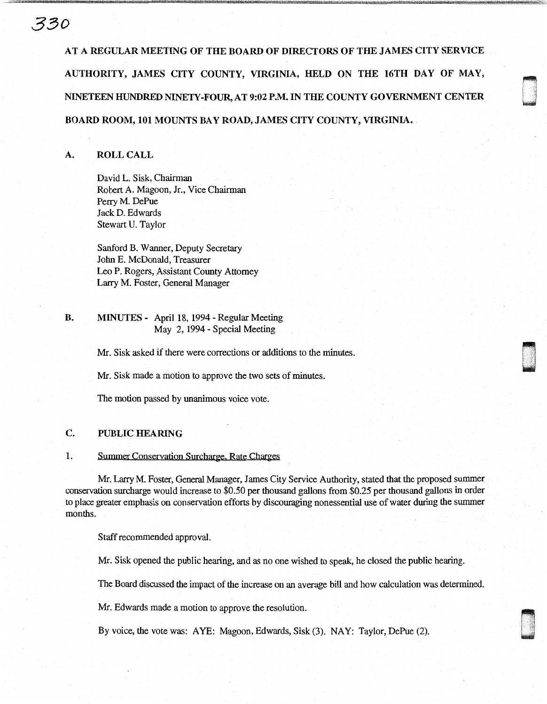# AT A REGULAR MEETING OF THE BOARD OF DIRECTORS OF THE JAMES CITY SERVICE AUTHORITY, JAMES CITY COUNTY, VIRGINIA, HELD ON THE 16TH DAY OF MAY, NINETEEN HUNDRED NINETY-FOUR, AT 9:02 P.M. IN THE COUNTY GOVERNMENT CENTER BOARD ROOM, 101 MOUNTS BAY ROAD, JAMES CITY COUNTY, VIRGINIA.

' 0

#### A. ROLL CALL

*380* 

David L. Sisk, Chairman Robert A. Magoon, Jr., Vice Chairman Perry M. DePue Jack D. Edwards Stewart U. Taylor

Sanford B. Wanner, Deputy Secretary John E. McDonald, Treasurer Leo P. Rogers, Assistant County Attorney Larry M. Foster, General Manager

### B. MINUTES - April 18, 1994- Regular Meeting May 2, 1994 - Special Meeting

Mr. Sisk asked if there were corrections or additions to the minutes.

Mr. Sisk made a motion to approve the two sets of minutes.

The motion passed by unanimous voice vote.

#### C. PUBLIC HEARING

#### 1. Summer Conservation Surcharge. Rate Charges

Mr. Larry M. Foster, General Manager, James City Service Authority, stated that the proposed summer conservation surcharge would increase to \$0.50 per thousand gallons from \$0.25 per thousand gallons in order to place greater emphasis on conservation efforts by discouraging nonessential use of water during the summer months.

Staff recommended approval.

Mr. Sisk opened the public hearing, and as no one wished to speak, he closed the public hearing.

The Board discussed the impact of the increase on an average bill and how calculation was determined.

Mr. Edwards made a motion to approve the resolution.

By voice, the vote was: AYE: Magoon, Edwards, Sisk (3). NAY: Taylor, DePue (2).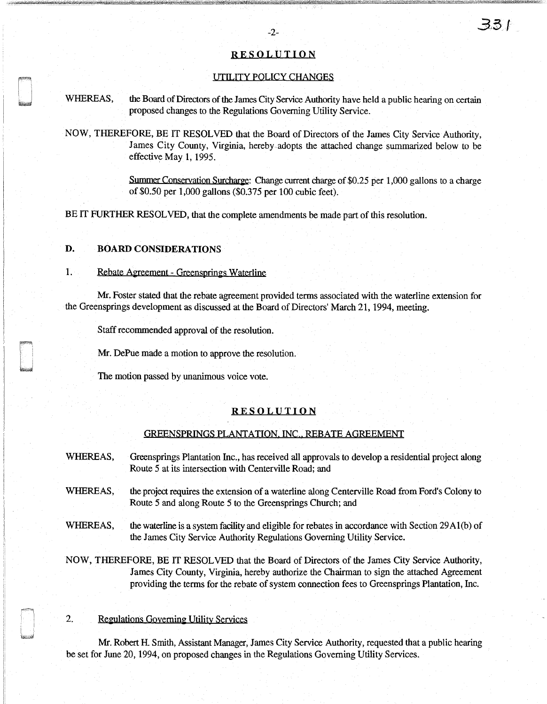#### RESOLUTION

#### UTILITY POLICY CHANGES

WHEREAS, the Board of Directors of the James City Service Authority have held a public hearing on certain proposed changes to the Regulations Governing Utility Service.

NOW, THEREFORE, BE IT RESOLVED that the Board of Directors of the James City Service Authority, James City County, Virginia, hereby-adopts the attached change summarized below to be effective May 1, 1995.

> Summer Conservation Surcharge: Change current charge of \$0.25 per 1,000 gallons to a charge of \$0.50 per 1,000 gallons (\$0.375 per 100 cubic feet).

BE IT FURTHER RESOLVED, that the complete amendments be made part of this resolution.

### D. BOARD CONSIDERATIONS

#### 1. Rebate Agreement - Greensprings Waterline

Mr. Foster stated that the rebate agreement provided terms associated with the waterline extension for the Greensprings development as discussed at the Board of Directors' March 21, 1994, meeting.

Staff recommended approval of the resolution.

Mr. DePue made a motion to approve the resolution.

The motion passed by unanimous voice vote.

#### RESOLUTION

#### OREENSPRINQS PLANTATION. INC,. REBATE AGREEMENT

- WHEREAS, Greensprings Plantation Inc., has received all approvals to develop a residential project along Route 5 at its intersection with Centerville Road; and
- WHEREAS, the project requires the extension of a waterline along Centerville Road from Ford's Colony to Route 5 and along Route 5 to the Greensprings Church; and
- WHEREAS, the waterline is a system facility and eligible for rebates in accordance with Section 29A1(b) of the James City Service Authority Regulations Governing Utility Service.
- NOW, THEREFORE, BE IT RESOLVED that the Board of Directors of the James City Service Authority, James City County, Virginia, hereby authorize the Chairman to sign the attached Agreement providing the terms for the rebate of system connection fees to Greensprings Plantation, Inc.

#### 2. Regulations Governing Utility Services

Mr. Robert H. Smith, Assistant Manager, James City Service Authority, requested that a public hearing be set for June 20, 1994, on proposed changes in the Regulations Governing Utility Services.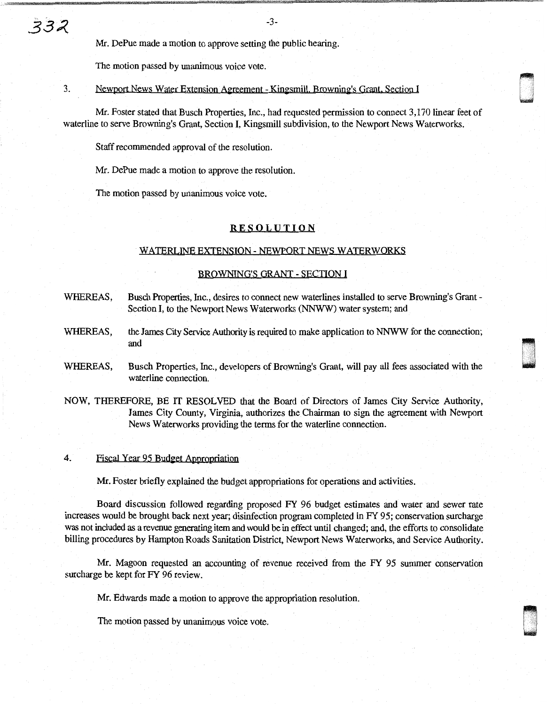-3-

Mr. DePue made a motion to approve setting the public hearing.

The motion passed by unanimous voice vote.

3. Newport News Water Extension Agreement - Kingsmill. Browning's Grant. Section I

Mr. Foster stated that Busch Properties, Inc., had requested permission to connect 3, 170 linear feet of waterline to serve Browning's Grant, Section I, Kingsmill subdivision, to the Newport News Waterworks.

~ unda<br>U

Staff recommended approval of the resolution.

Mr. DePue made a motion to approve the resolution.

The motion passed by unanimous voice vote.

#### **RESOLUTION**

#### WATERLINE EXTENSION - NEWPORT NEWS WATERWORKS

#### BROWNING'S GRANT - SECTION I

- WHEREAS, Busch Properties, Inc., desires to connect new waterlines installed to serve Browning's Grant-Section I, to the Newport News Waterworks (NNWW) water system; and
- WHEREAS, the James City Service Authority is required to make application to NNWW for the connection; and
- WHEREAS, Busch Properties, Inc., developers of Browning's Grant, will pay all fees associated with the waterline connection.
- NOW, THEREFORE, BE IT RESOLVED that the Board of Directors of James City Service Authority, James City County, Virginia, authorizes the Chairman to sign the agreement with Newport News Waterworks providing the terms for the waterline connection.

#### 4. Fiscal Year 95 Budget Appropriation

Mr. Foster briefly explained the budget appropriations for operations and activities.

Board discussion followed regarding proposed FY 96 budget estimates and water and sewer rate increases would be brought back next year; disinfection program completed in FY 95; conservation surcharge was not included as a revenue generating item and would be in effect until changed; and, the efforts to consolidate billing procedures by Hampton Roads Sanitation District, Newport News Waterworks, and Service Authority.

Mr. Magoon requested an accounting of revenue received from the FY 95 summer conservation surcharge be kept for FY 96 review.

Mr. Edwards made a motion to approve the appropriation resolution.

The motion passed by unanimous voice vote.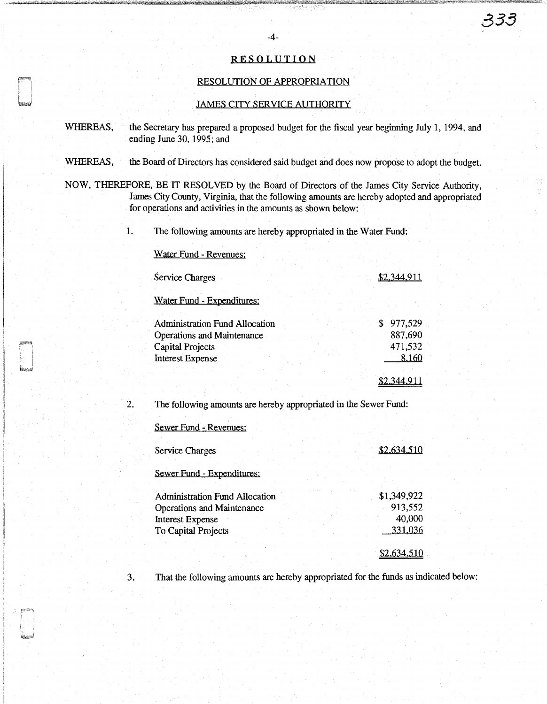### RESOLUTION

#### RESOLUTION OF APPROPRIATION

#### JAMES CITY SERVICE AUTHORITY

- WHEREAS, the Secretary has prepared a proposed budget for the fiscal year beginning July 1, 1994, and ending June 30, 1995; and
- WHEREAS, the Board of Directors has considered said budget and does now propose to adopt the budget.

NOW, THEREFORE, BE IT RESOLVED by the Board of Directors of the James City Service Authority, James City County, Virginia, that the following amounts are hereby adopted and appropriated for operations and activities in the amounts as shown below:

1. The following amounts are hereby appropriated in the Water Fund:

#### Water Fund - Revenues:

| Service Charges                                                                                | \$2.344.911 |                               |  |
|------------------------------------------------------------------------------------------------|-------------|-------------------------------|--|
| Water Fund - Expenditures:                                                                     |             |                               |  |
| Administration Fund Allocation<br><b>Operations and Maintenance</b><br><b>Capital Projects</b> |             | 977,529<br>887,690<br>471,532 |  |
| Interest Expense                                                                               |             | 8.160                         |  |

2. The following amounts are hereby appropriated in the Sewer Fund:

#### Sewer Fund - Revenues:

| Service Charges                       | \$2.634.510 |
|---------------------------------------|-------------|
| Sewer Fund - Expenditures:            |             |
| <b>Administration Fund Allocation</b> | \$1,349,922 |
| Operations and Maintenance            | 913,552     |
| <b>Interest Expense</b>               | 40,000      |
| To Capital Projects                   | 331,036     |
|                                       |             |

3. That the following amounts are hereby appropriated for the funds as indicated below:

남편한 소년 1번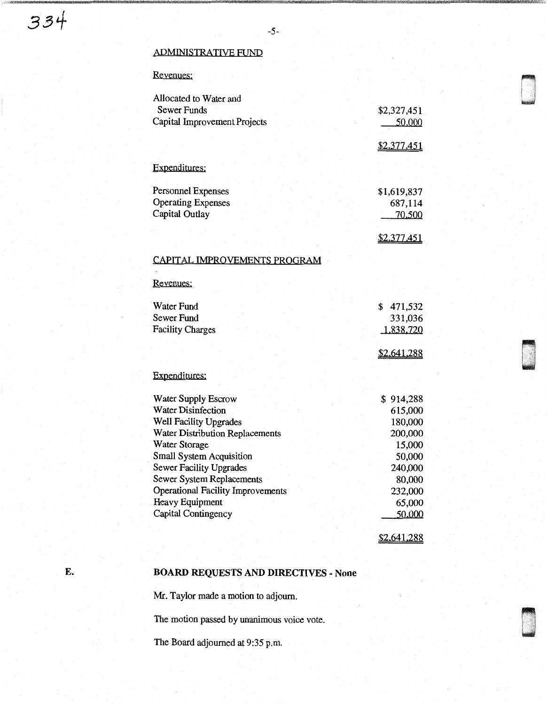## ADMINISTRATIVE FUND

# Revenues:

| Allocated to Water and                   |             |  |
|------------------------------------------|-------------|--|
| <b>Sewer Funds</b>                       | \$2,327,451 |  |
| Capital Improvement Projects             | 50,000      |  |
|                                          |             |  |
|                                          | \$2,377,451 |  |
| Expenditures:                            |             |  |
|                                          |             |  |
| Personnel Expenses                       | \$1,619,837 |  |
| <b>Operating Expenses</b>                | 687,114     |  |
| Capital Outlay                           | 70,500      |  |
|                                          |             |  |
|                                          | \$2,377,451 |  |
| CAPITAL IMPROVEMENTS PROGRAM             |             |  |
|                                          |             |  |
| Revenues:                                |             |  |
|                                          |             |  |
| <b>Water Fund</b>                        | \$471,532   |  |
| Sewer Fund                               | 331,036     |  |
| <b>Facility Charges</b>                  | 1,838,720   |  |
|                                          |             |  |
|                                          | \$2,641,288 |  |
| Expenditures:                            |             |  |
|                                          |             |  |
| Water Supply Escrow                      | \$914,288   |  |
| <b>Water Disinfection</b>                | 615,000     |  |
| Well Facility Upgrades                   | 180,000     |  |
| <b>Water Distribution Replacements</b>   | 200,000     |  |
| Water Storage                            | 15,000      |  |
| Small System Acquisition                 | 50,000      |  |
| <b>Sewer Facility Upgrades</b>           | 240,000     |  |
| <b>Sewer System Replacements</b>         | 80,000      |  |
| <b>Operational Facility Improvements</b> | 232,000     |  |
| <b>Heavy Equipment</b>                   | 65,000      |  |
| Capital Contingency                      | 50,000      |  |
|                                          |             |  |
|                                          | \$2,641,288 |  |

# E. BOARD REQUESTS AND DIRECTIVES - None

Mr. Taylor made a motion to adjourn.

The motion passed by unanimous voice vote.

The Board adjourned at 9:35 p.m.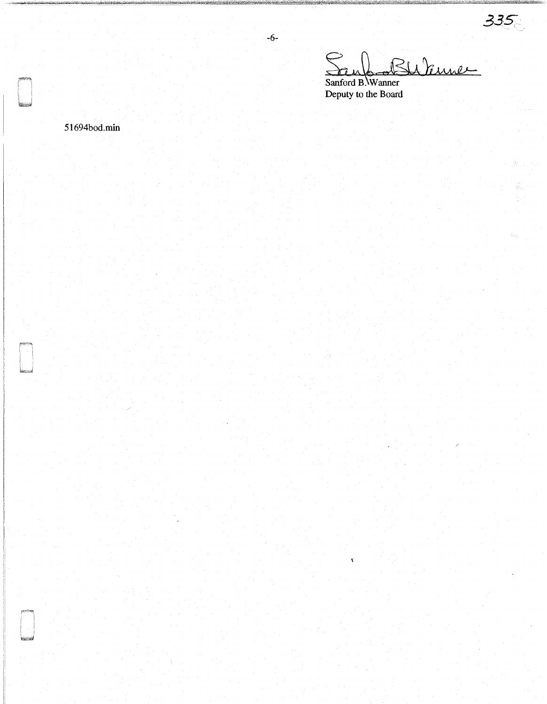*3.3S* 

Sanford Seub-Bubine Deputy to the Board

 $\mathbf x$ 

-6-

51694bod.min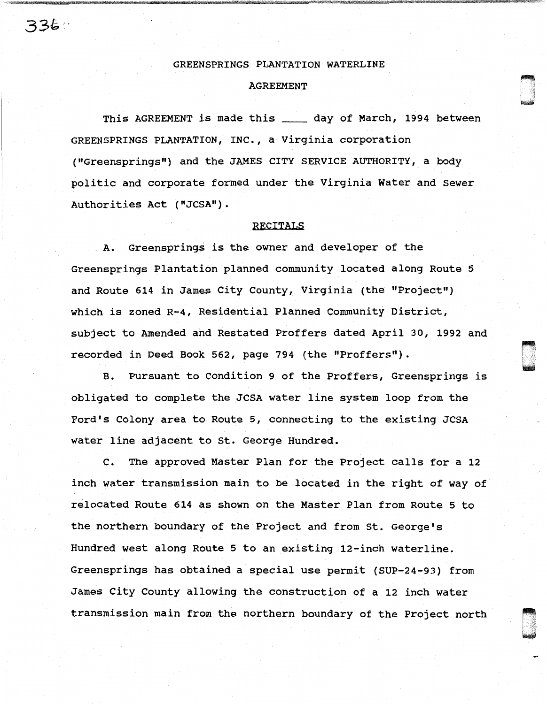#### GREENSPRINGS PLANTATION WATERLINE

#### AGREEMENT

This AGREEMENT is made this \_\_\_\_\_ day of March, 1994 between GREENSPRINGS PLANTATION, INC., a Virginia corporation ("Greensprings") and the JAMES CITY SERVICE AUTHORITY, a body politic and corporate formed under the Virginia Water and Sewer Authorities Act ("JCSA").

#### RECITALS

A. Greensprings is the owner and developer of the Greensprings Plantation planned community located along Route 5 and Route 614 in James City County, Virginia (the "Project") which is zoned R-4, Residential Planned Community District, subject to Amended and Restated Proffers dated April 30, 1992 and recorded in Deed Book 562, page 794 (the "Proffers").

B. Pursuant to Condition 9 of the Proffers, Greensprings is obligated to complete the JCSA water line system loop from the Ford's Colony area to Route 5, connecting to the existing JCSA water line adjacent to St. George Hundred.

[] .<br>[] .<br>[[] . I '

 $\sim$ U. '

c. The approved Master Plan for the Project calls for a 12 inch water transmission main to be located in the right of way of relocated Route 614 as shown on the Master Plan from Route 5 to the northern boundary of the Project and from St. George's Hundred west along Route 5 to an existing 12-inch waterline. Greensprings has obtained a special use permit (SUP-24-93) from James City County allowing the construction of a 12 inch water transmission main from the northern boundary of the Project north

336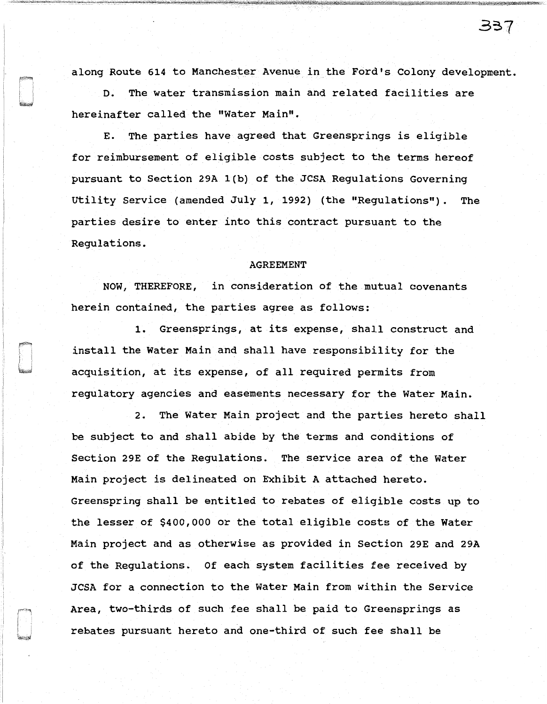along Route 614 to Manchester Avenue in the Ford's Colony development.

D. The water transmission main and related facilities are hereinafter called the "Water Main".

E. The parties have agreed that Greensprings is eligible for reimbursement of eligible costs subject to the terms hereof pursuant to Section 29A l(b) of the JCSA Regulations Governing Utility Service (amended July 1, 1992) (the "Regulations"). The parties desire to enter into this contract pursuant to the Regulations.

#### AGREEMENT

NOW, THEREFORE, in consideration of the mutual covenants herein contained, the parties agree as follows:

1. Greensprings, at its expense, shall construct and install the water Main and shall have responsibility for the acquisition, at its expense, of all required permits from regulatory agencies and easements necessary for the Water Main.

2. The Water Main project and the parties hereto shall be subject to and shall abide by the terms and conditions of Section 29E of the Regulations. The service area of the water Main project is delineated on Exhibit A attached hereto. Greenspring shall be entitled to rebates of eligible costs up to the lesser of \$400,000 or the total eligible costs of the water Main project and as otherwise as provided in Section 29E and 29A of the Regulations. Of each system facilities fee received by JCSA for a connection to the Water Main from within the Service Area, two-thirds of such fee shall be paid to Greensprings as rebates pursuant hereto and one-third of such fee shall be